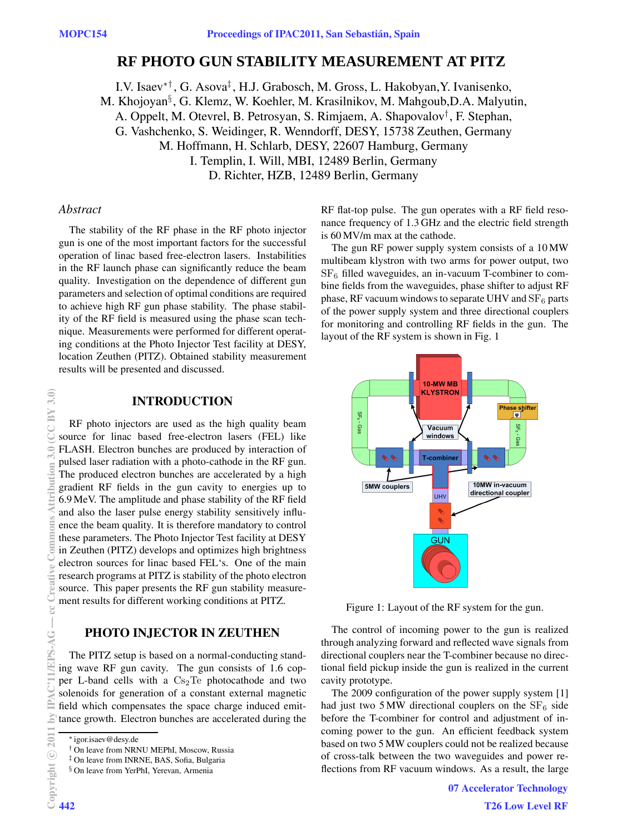# **RF PHOTO GUN STABILITY MEASUREMENT AT PITZ**

I.V. Isaev∗† , G. Asova‡ , H.J. Grabosch, M. Gross, L. Hakobyan,Y. Ivanisenko, M. Khojoyan§ , G. Klemz, W. Koehler, M. Krasilnikov, M. Mahgoub,D.A. Malyutin, A. Oppelt, M. Otevrel, B. Petrosyan, S. Rimjaem, A. Shapovalov†, F. Stephan, G. Vashchenko, S. Weidinger, R. Wenndorff, DESY, 15738 Zeuthen, Germany M. Hoffmann, H. Schlarb, DESY, 22607 Hamburg, Germany I. Templin, I. Will, MBI, 12489 Berlin, Germany D. Richter, HZB, 12489 Berlin, Germany

### *Abstract*

The stability of the RF phase in the RF photo injector gun is one of the most important factors for the successful operation of linac based free-electron lasers. Instabilities in the RF launch phase can significantly reduce the beam quality. Investigation on the dependence of different gun parameters and selection of optimal conditions are required to achieve high RF gun phase stability. The phase stability of the RF field is measured using the phase scan technique. Measurements were performed for different operating conditions at the Photo Injector Test facility at DESY, location Zeuthen (PITZ). Obtained stability measurement results will be presented and discussed.

#### **INTRODUCTION**

RF photo injectors are used as the high quality beam source for linac based free-electron lasers (FEL) like FLASH. Electron bunches are produced by interaction of pulsed laser radiation with a photo-cathode in the RF gun. The produced electron bunches are accelerated by a high gradient RF fields in the gun cavity to energies up to 6.9 MeV. The amplitude and phase stability of the RF field and also the laser pulse energy stability sensitively influence the beam quality. It is therefore mandatory to control these parameters. The Photo Injector Test facility at DESY in Zeuthen (PITZ) develops and optimizes high brightness electron sources for linac based FEL's. One of the main research programs at PITZ is stability of the photo electron source. This paper presents the RF gun stability measurement results for different working conditions at PITZ. 2011 by IPAC'11/EPS-AG — cc Creative Commons Attribution 3.0 (CC BY 3.0)

# **PHOTO INJECTOR IN ZEUTHEN**

The PITZ setup is based on a normal-conducting standing wave RF gun cavity. The gun consists of 1.6 copper L-band cells with a  $Cs<sub>2</sub>Te$  photocathode and two solenoids for generation of a constant external magnetic field which compensates the space charge induced emittance growth. Electron bunches are accelerated during the RF flat-top pulse. The gun operates with a RF field resonance frequency of 1.3 GHz and the electric field strength is 60 MV/m max at the cathode.

The gun RF power supply system consists of a 10 MW multibeam klystron with two arms for power output, two  $SF<sub>6</sub>$  filled waveguides, an in-vacuum T-combiner to combine fields from the waveguides, phase shifter to adjust RF phase, RF vacuum windows to separate UHV and  $SF_6$  parts of the power supply system and three directional couplers for monitoring and controlling RF fields in the gun. The layout of the RF system is shown in Fig. 1



Figure 1: Layout of the RF system for the gun.

The control of incoming power to the gun is realized through analyzing forward and reflected wave signals from directional couplers near the T-combiner because no directional field pickup inside the gun is realized in the current cavity prototype.

The 2009 configuration of the power supply system [1] had just two 5 MW directional couplers on the  $SF_6$  side before the T-combiner for control and adjustment of incoming power to the gun. An efficient feedback system based on two 5 MW couplers could not be realized because of cross-talk between the two waveguides and power reflections from RF vacuum windows. As a result, the large

> 07 Accelerator Technology T26 Low Level RF

**c** 2011

**N** 

 $CC$ BY 3.0

tion

**NINS** 

lGU.

ē

or.<br>D

<sup>∗</sup> igor.isaev@desy.de

<sup>†</sup> On leave from NRNU MEPhI, Moscow, Russia

<sup>‡</sup> On leave from INRNE, BAS, Sofia, Bulgaria

<sup>§</sup> On leave from YerPhI, Yerevan, Armenia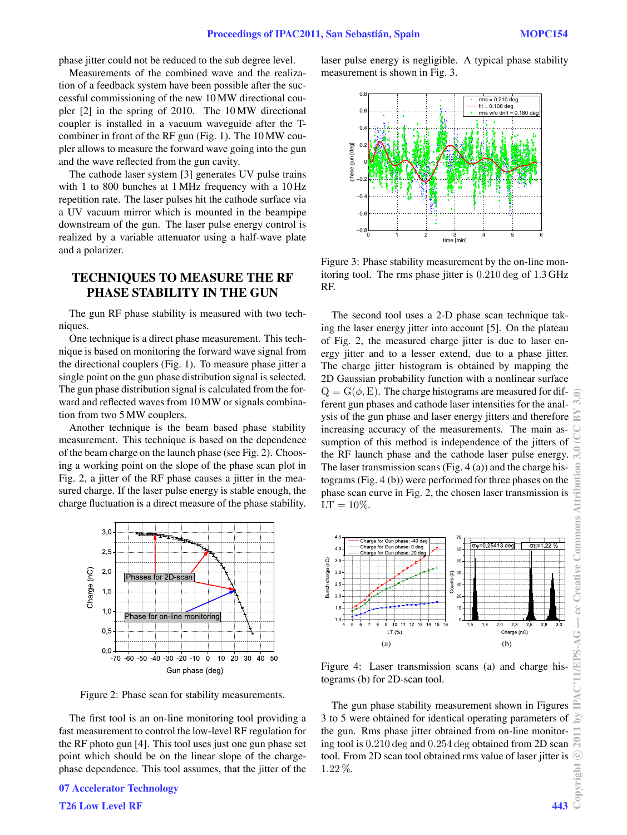phase jitter could not be reduced to the sub degree level.

Measurements of the combined wave and the realization of a feedback system have been possible after the successful commissioning of the new 10 MW directional coupler [2] in the spring of 2010. The 10 MW directional coupler is installed in a vacuum waveguide after the Tcombiner in front of the RF gun (Fig. 1). The 10 MW coupler allows to measure the forward wave going into the gun and the wave reflected from the gun cavity.

The cathode laser system [3] generates UV pulse trains with 1 to 800 bunches at 1 MHz frequency with a 10 Hz repetition rate. The laser pulses hit the cathode surface via a UV vacuum mirror which is mounted in the beampipe downstream of the gun. The laser pulse energy control is realized by a variable attenuator using a half-wave plate and a polarizer.

## **TECHNIQUES TO MEASURE THE RF PHASE STABILITY IN THE GUN**

The gun RF phase stability is measured with two techniques.

One technique is a direct phase measurement. This technique is based on monitoring the forward wave signal from the directional couplers (Fig. 1). To measure phase jitter a single point on the gun phase distribution signal is selected. The gun phase distribution signal is calculated from the forward and reflected waves from 10 MW or signals combination from two 5 MW couplers.

Another technique is the beam based phase stability measurement. This technique is based on the dependence of the beam charge on the launch phase (see Fig. 2). Choosing a working point on the slope of the phase scan plot in Fig. 2, a jitter of the RF phase causes a jitter in the measured charge. If the laser pulse energy is stable enough, the charge fluctuation is a direct measure of the phase stability.



Figure 2: Phase scan for stability measurements.

The first tool is an on-line monitoring tool providing a fast measurement to control the low-level RF regulation for the RF photo gun [4]. This tool uses just one gun phase set point which should be on the linear slope of the chargephase dependence. This tool assumes, that the jitter of the laser pulse energy is negligible. A typical phase stability measurement is shown in Fig. 3.



Figure 3: Phase stability measurement by the on-line monitoring tool. The rms phase jitter is 0.210 deg of 1.3 GHz RF.

The second tool uses a 2-D phase scan technique taking the laser energy jitter into account [5]. On the plateau of Fig. 2, the measured charge jitter is due to laser energy jitter and to a lesser extend, due to a phase jitter. The charge jitter histogram is obtained by mapping the 2D Gaussian probability function with a nonlinear surface  $Q = G(\phi, E)$ . The charge histograms are measured for different gun phases and cathode laser intensities for the analysis of the gun phase and laser energy jitters and therefore increasing accuracy of the measurements. The main assumption of this method is independence of the jitters of the RF launch phase and the cathode laser pulse energy. The laser transmission scans (Fig. 4 (a)) and the charge histograms (Fig. 4 (b)) were performed for three phases on the phase scan curve in Fig. 2, the chosen laser transmission is  $LT = 10\%.$ 



Figure 4: Laser transmission scans (a) and charge histograms (b) for 2D-scan tool.

The gun phase stability measurement shown in Figures 3 to 5 were obtained for identical operating parameters of the gun. Rms phase jitter obtained from on-line monitoring tool is 0.210 deg and 0.254 deg obtained from 2D scan tool. From 2D scan tool obtained rms value of laser jitter is 1.22 %.